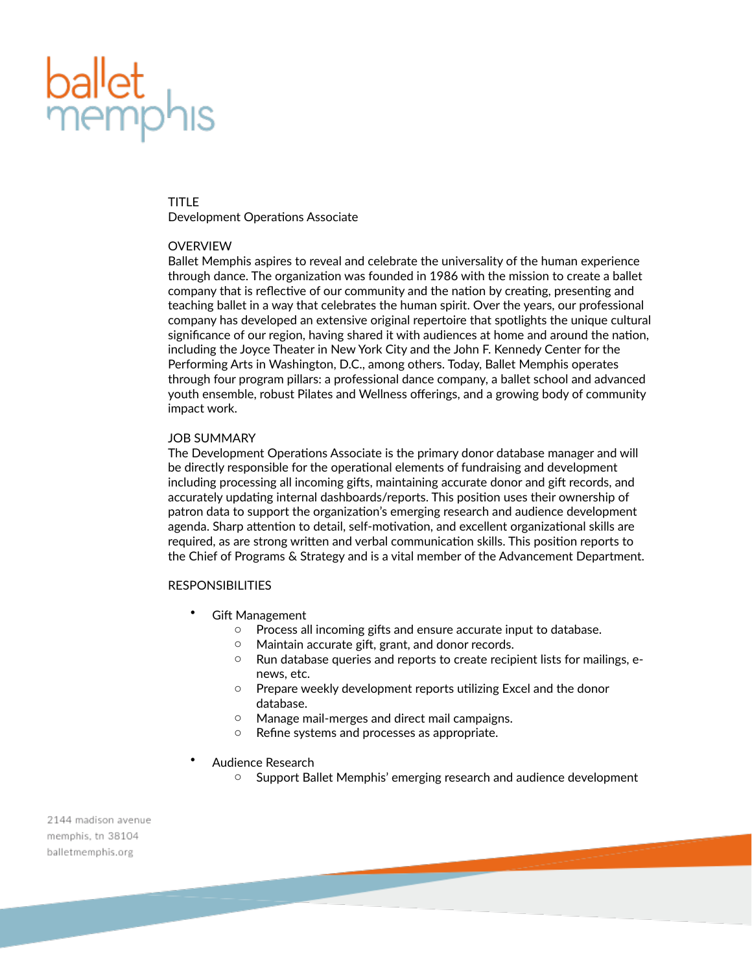# **ballet**<br>memph

#### TITLE

Development Operations Associate

# **OVERVIEW**

Ballet Memphis aspires to reveal and celebrate the universality of the human experience through dance. The organization was founded in 1986 with the mission to create a ballet company that is reflective of our community and the nation by creating, presenting and teaching ballet in a way that celebrates the human spirit. Over the years, our professional company has developed an extensive original repertoire that spotlights the unique cultural significance of our region, having shared it with audiences at home and around the nation, including the Joyce Theater in New York City and the John F. Kennedy Center for the Performing Arts in Washington, D.C., among others. Today, Ballet Memphis operates through four program pillars: a professional dance company, a ballet school and advanced youth ensemble, robust Pilates and Wellness offerings, and a growing body of community impact work.

# JOB SUMMARY

The Development Operations Associate is the primary donor database manager and will be directly responsible for the operational elements of fundraising and development including processing all incoming gifts, maintaining accurate donor and gift records, and accurately updating internal dashboards/reports. This position uses their ownership of patron data to support the organization's emerging research and audience development agenda. Sharp attention to detail, self-motivation, and excellent organizational skills are required, as are strong written and verbal communication skills. This position reports to the Chief of Programs & Strategy and is a vital member of the Advancement Department.

### RESPONSIBILITIES

- **Gift Management** 
	- o Process all incoming gifts and ensure accurate input to database.
	- o Maintain accurate gift, grant, and donor records.
	- o Run database queries and reports to create recipient lists for mailings, enews, etc.
	- o Prepare weekly development reports utilizing Excel and the donor database.
	- o Manage mail-merges and direct mail campaigns.
	- o Refine systems and processes as appropriate.
- Audience Research
	- o Support Ballet Memphis' emerging research and audience development

2144 madison avenue memphis, tn 38104 balletmemphis.org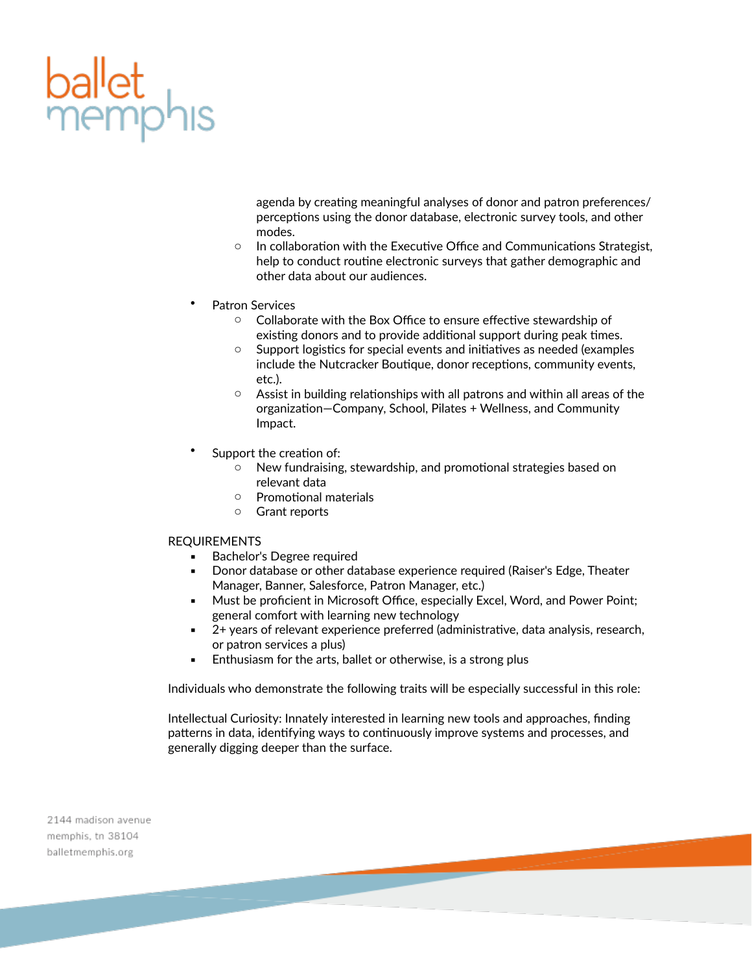

agenda by creating meaningful analyses of donor and patron preferences/ perceptions using the donor database, electronic survey tools, and other modes.

- o In collaboration with the Executive Office and Communications Strategist, help to conduct routine electronic surveys that gather demographic and other data about our audiences.
- Patron Services
	- o Collaborate with the Box Office to ensure effective stewardship of existing donors and to provide additional support during peak times.
	- o Support logistics for special events and initiatives as needed (examples include the Nutcracker Boutique, donor receptions, community events, etc.).
	- $\circ$  Assist in building relationships with all patrons and within all areas of the organization—Company, School, Pilates + Wellness, and Community Impact.
- Support the creation of:
	- o New fundraising, stewardship, and promotional strategies based on relevant data
	- o Promotional materials
	- o Grant reports

#### REQUIREMENTS

- Bachelor's Degree required
- Donor database or other database experience required (Raiser's Edge, Theater Manager, Banner, Salesforce, Patron Manager, etc.)
- **EXEDED FROGOTS IN MICLE AT A MICLE AT A MICLE ASSET** Must be proficted in Microsoft Cxcel, Must Point; general comfort with learning new technology
- 2+ years of relevant experience preferred (administrative, data analysis, research, or patron services a plus)
- **Enthusiasm for the arts, ballet or otherwise, is a strong plus**

Individuals who demonstrate the following traits will be especially successful in this role:

Intellectual Curiosity: Innately interested in learning new tools and approaches, finding patterns in data, identifying ways to continuously improve systems and processes, and generally digging deeper than the surface.

2144 madison avenue memphis, tn 38104 balletmemphis.org